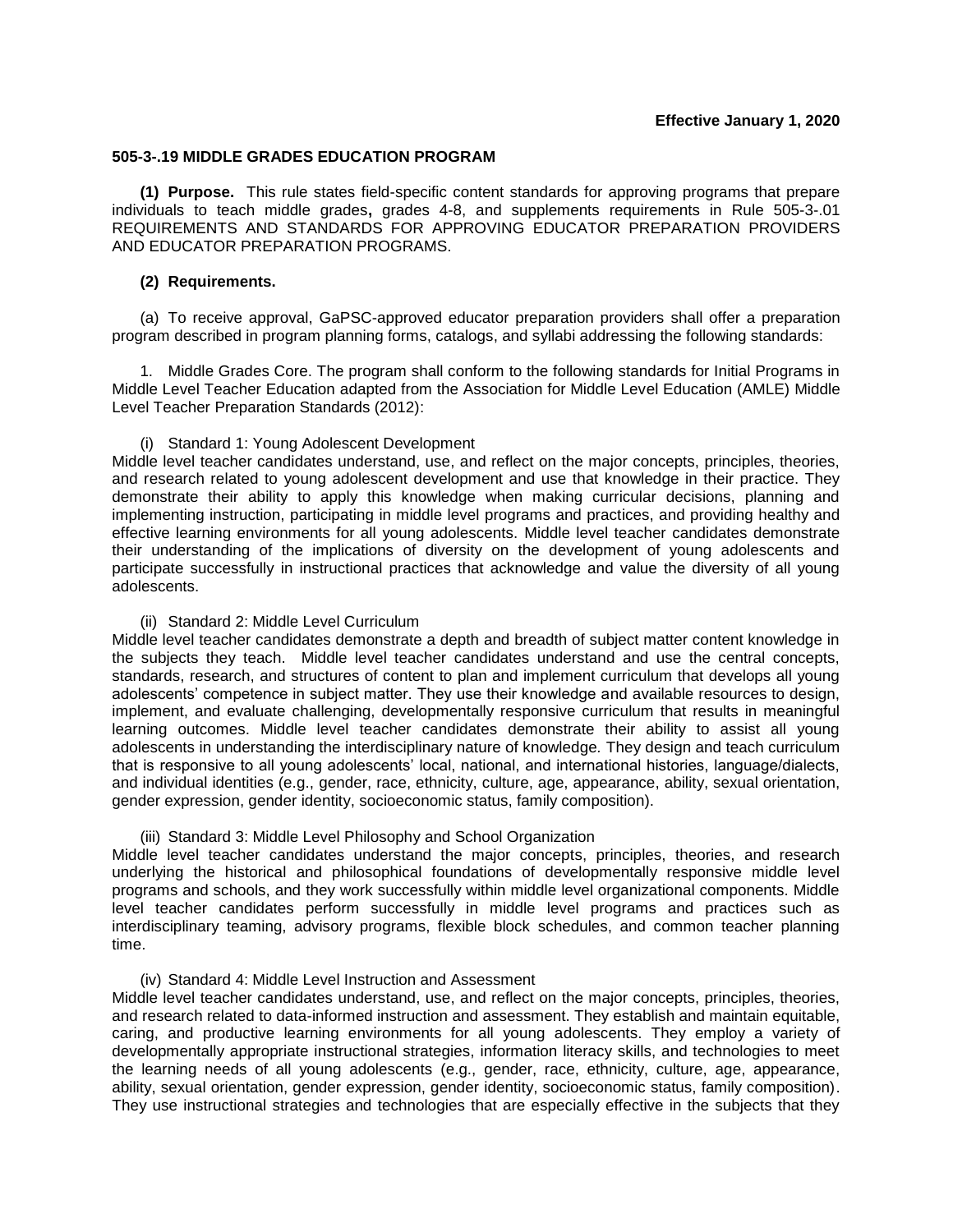## **505-3-.19 MIDDLE GRADES EDUCATION PROGRAM**

**(1) Purpose.** This rule states field-specific content standards for approving programs that prepare individuals to teach middle grades**,** grades 4-8, and supplements requirements in Rule 505-3-.01 REQUIREMENTS AND STANDARDS FOR APPROVING EDUCATOR PREPARATION PROVIDERS AND EDUCATOR PREPARATION PROGRAMS.

## **(2) Requirements.**

(a) To receive approval, GaPSC-approved educator preparation providers shall offer a preparation program described in program planning forms, catalogs, and syllabi addressing the following standards:

1. Middle Grades Core. The program shall conform to the following standards for Initial Programs in Middle Level Teacher Education adapted from the Association for Middle Level Education (AMLE) Middle Level Teacher Preparation Standards (2012):

## (i) Standard 1: Young Adolescent Development

Middle level teacher candidates understand, use, and reflect on the major concepts, principles, theories, and research related to young adolescent development and use that knowledge in their practice. They demonstrate their ability to apply this knowledge when making curricular decisions, planning and implementing instruction, participating in middle level programs and practices, and providing healthy and effective learning environments for all young adolescents. Middle level teacher candidates demonstrate their understanding of the implications of diversity on the development of young adolescents and participate successfully in instructional practices that acknowledge and value the diversity of all young adolescents.

#### (ii) Standard 2: Middle Level Curriculum

Middle level teacher candidates demonstrate a depth and breadth of subject matter content knowledge in the subjects they teach. Middle level teacher candidates understand and use the central concepts, standards, research, and structures of content to plan and implement curriculum that develops all young adolescents' competence in subject matter. They use their knowledge and available resources to design, implement, and evaluate challenging, developmentally responsive curriculum that results in meaningful learning outcomes. Middle level teacher candidates demonstrate their ability to assist all young adolescents in understanding the interdisciplinary nature of knowledge*.* They design and teach curriculum that is responsive to all young adolescents' local, national, and international histories, language/dialects, and individual identities (e.g., gender, race, ethnicity, culture, age, appearance, ability, sexual orientation, gender expression, gender identity, socioeconomic status, family composition).

#### (iii) Standard 3: Middle Level Philosophy and School Organization

Middle level teacher candidates understand the major concepts, principles, theories, and research underlying the historical and philosophical foundations of developmentally responsive middle level programs and schools, and they work successfully within middle level organizational components. Middle level teacher candidates perform successfully in middle level programs and practices such as interdisciplinary teaming, advisory programs, flexible block schedules, and common teacher planning time.

# (iv) Standard 4: Middle Level Instruction and Assessment

Middle level teacher candidates understand, use, and reflect on the major concepts, principles, theories, and research related to data-informed instruction and assessment. They establish and maintain equitable, caring, and productive learning environments for all young adolescents. They employ a variety of developmentally appropriate instructional strategies, information literacy skills, and technologies to meet the learning needs of all young adolescents (e.g., gender, race, ethnicity, culture, age, appearance, ability, sexual orientation, gender expression, gender identity, socioeconomic status, family composition). They use instructional strategies and technologies that are especially effective in the subjects that they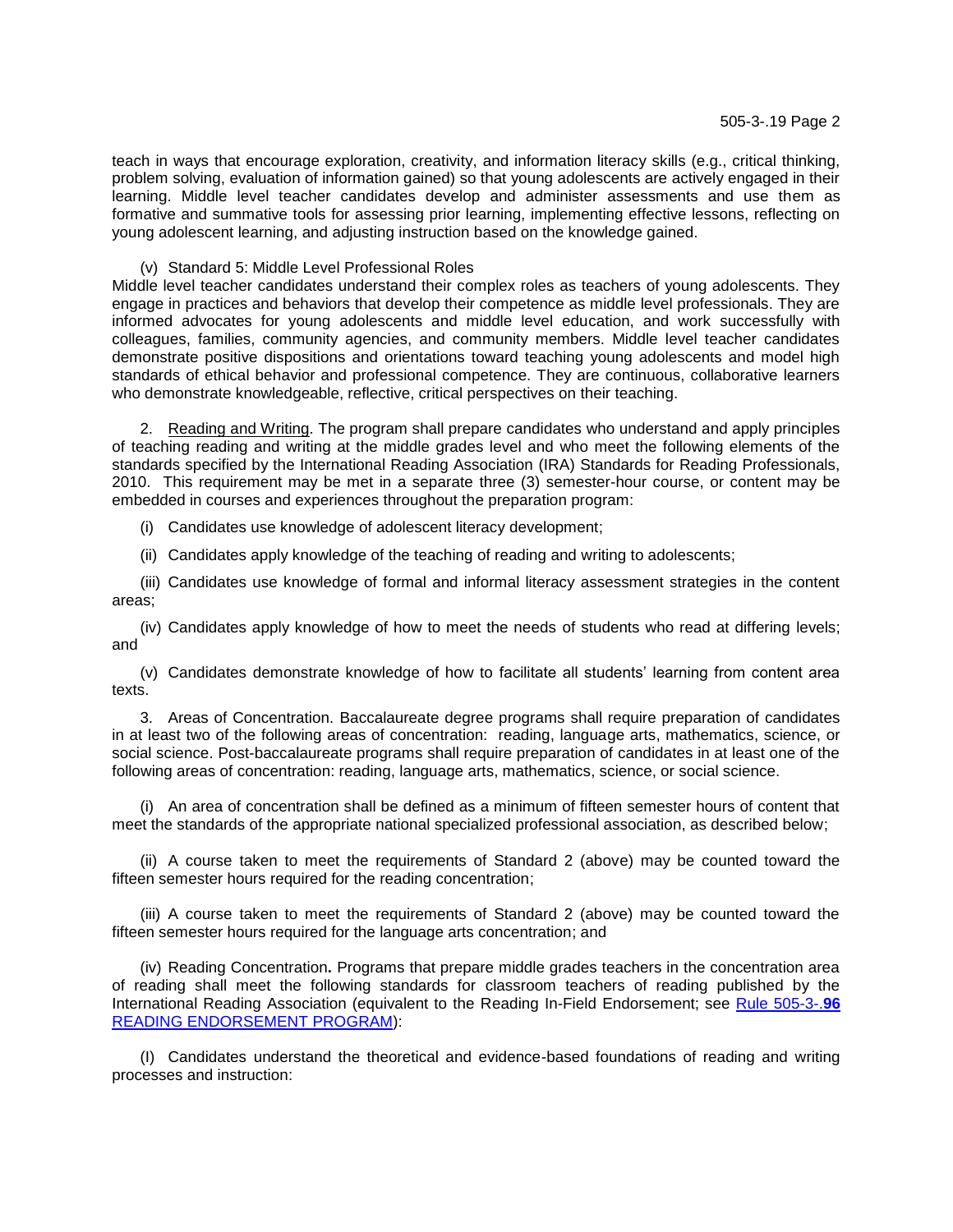teach in ways that encourage exploration, creativity, and information literacy skills (e.g., critical thinking, problem solving, evaluation of information gained) so that young adolescents are actively engaged in their learning. Middle level teacher candidates develop and administer assessments and use them as formative and summative tools for assessing prior learning, implementing effective lessons, reflecting on young adolescent learning, and adjusting instruction based on the knowledge gained.

(v) Standard 5: Middle Level Professional Roles

Middle level teacher candidates understand their complex roles as teachers of young adolescents. They engage in practices and behaviors that develop their competence as middle level professionals. They are informed advocates for young adolescents and middle level education, and work successfully with colleagues, families, community agencies, and community members. Middle level teacher candidates demonstrate positive dispositions and orientations toward teaching young adolescents and model high standards of ethical behavior and professional competence. They are continuous, collaborative learners who demonstrate knowledgeable, reflective, critical perspectives on their teaching.

2. Reading and Writing. The program shall prepare candidates who understand and apply principles of teaching reading and writing at the middle grades level and who meet the following elements of the standards specified by the International Reading Association (IRA) Standards for Reading Professionals, 2010. This requirement may be met in a separate three (3) semester-hour course, or content may be embedded in courses and experiences throughout the preparation program:

(i) Candidates use knowledge of adolescent literacy development;

(ii) Candidates apply knowledge of the teaching of reading and writing to adolescents;

(iii) Candidates use knowledge of formal and informal literacy assessment strategies in the content areas;

(iv) Candidates apply knowledge of how to meet the needs of students who read at differing levels; and

(v) Candidates demonstrate knowledge of how to facilitate all students' learning from content area texts.

3. Areas of Concentration. Baccalaureate degree programs shall require preparation of candidates in at least two of the following areas of concentration: reading, language arts, mathematics, science, or social science. Post-baccalaureate programs shall require preparation of candidates in at least one of the following areas of concentration: reading, language arts, mathematics, science, or social science.

(i) An area of concentration shall be defined as a minimum of fifteen semester hours of content that meet the standards of the appropriate national specialized professional association, as described below;

(ii) A course taken to meet the requirements of Standard 2 (above) may be counted toward the fifteen semester hours required for the reading concentration;

(iii) A course taken to meet the requirements of Standard 2 (above) may be counted toward the fifteen semester hours required for the language arts concentration; and

(iv) Reading Concentration**.** Programs that prepare middle grades teachers in the concentration area of reading shall meet the following standards for classroom teachers of reading published by the International Reading Association (equivalent to the Reading In-Field Endorsement; see [Rule 505-3-.](http://www.gapsc.com/Rules/Current/EducatorPreparation/505-3-.75.pdf)**96** [READING ENDORSEMENT PROGRAM\)](http://www.gapsc.com/Rules/Current/EducatorPreparation/505-3-.75.pdf):

(I) Candidates understand the theoretical and evidence-based foundations of reading and writing processes and instruction: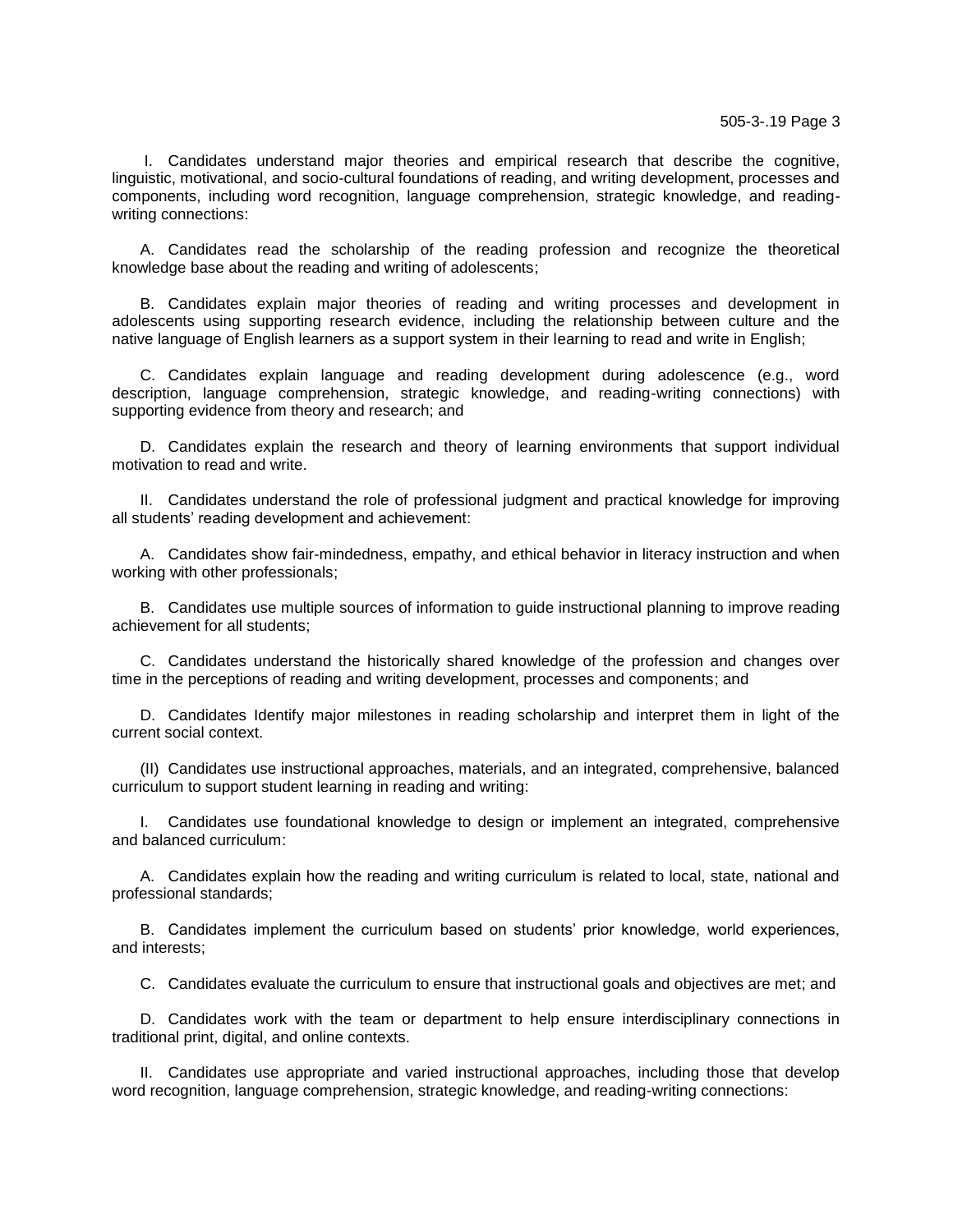I. Candidates understand major theories and empirical research that describe the cognitive, linguistic, motivational, and socio-cultural foundations of reading, and writing development, processes and components, including word recognition, language comprehension, strategic knowledge, and readingwriting connections:

A. Candidates read the scholarship of the reading profession and recognize the theoretical knowledge base about the reading and writing of adolescents;

B. Candidates explain major theories of reading and writing processes and development in adolescents using supporting research evidence, including the relationship between culture and the native language of English learners as a support system in their learning to read and write in English;

C. Candidates explain language and reading development during adolescence (e.g., word description, language comprehension, strategic knowledge, and reading-writing connections) with supporting evidence from theory and research; and

D. Candidates explain the research and theory of learning environments that support individual motivation to read and write.

II. Candidates understand the role of professional judgment and practical knowledge for improving all students' reading development and achievement:

A. Candidates show fair-mindedness, empathy, and ethical behavior in literacy instruction and when working with other professionals;

B. Candidates use multiple sources of information to guide instructional planning to improve reading achievement for all students;

C. Candidates understand the historically shared knowledge of the profession and changes over time in the perceptions of reading and writing development, processes and components; and

D. Candidates Identify major milestones in reading scholarship and interpret them in light of the current social context.

(II) Candidates use instructional approaches, materials, and an integrated, comprehensive, balanced curriculum to support student learning in reading and writing:

I. Candidates use foundational knowledge to design or implement an integrated, comprehensive and balanced curriculum:

A. Candidates explain how the reading and writing curriculum is related to local, state, national and professional standards;

B. Candidates implement the curriculum based on students' prior knowledge, world experiences, and interests;

C. Candidates evaluate the curriculum to ensure that instructional goals and objectives are met; and

D. Candidates work with the team or department to help ensure interdisciplinary connections in traditional print, digital, and online contexts.

II. Candidates use appropriate and varied instructional approaches, including those that develop word recognition, language comprehension, strategic knowledge, and reading-writing connections: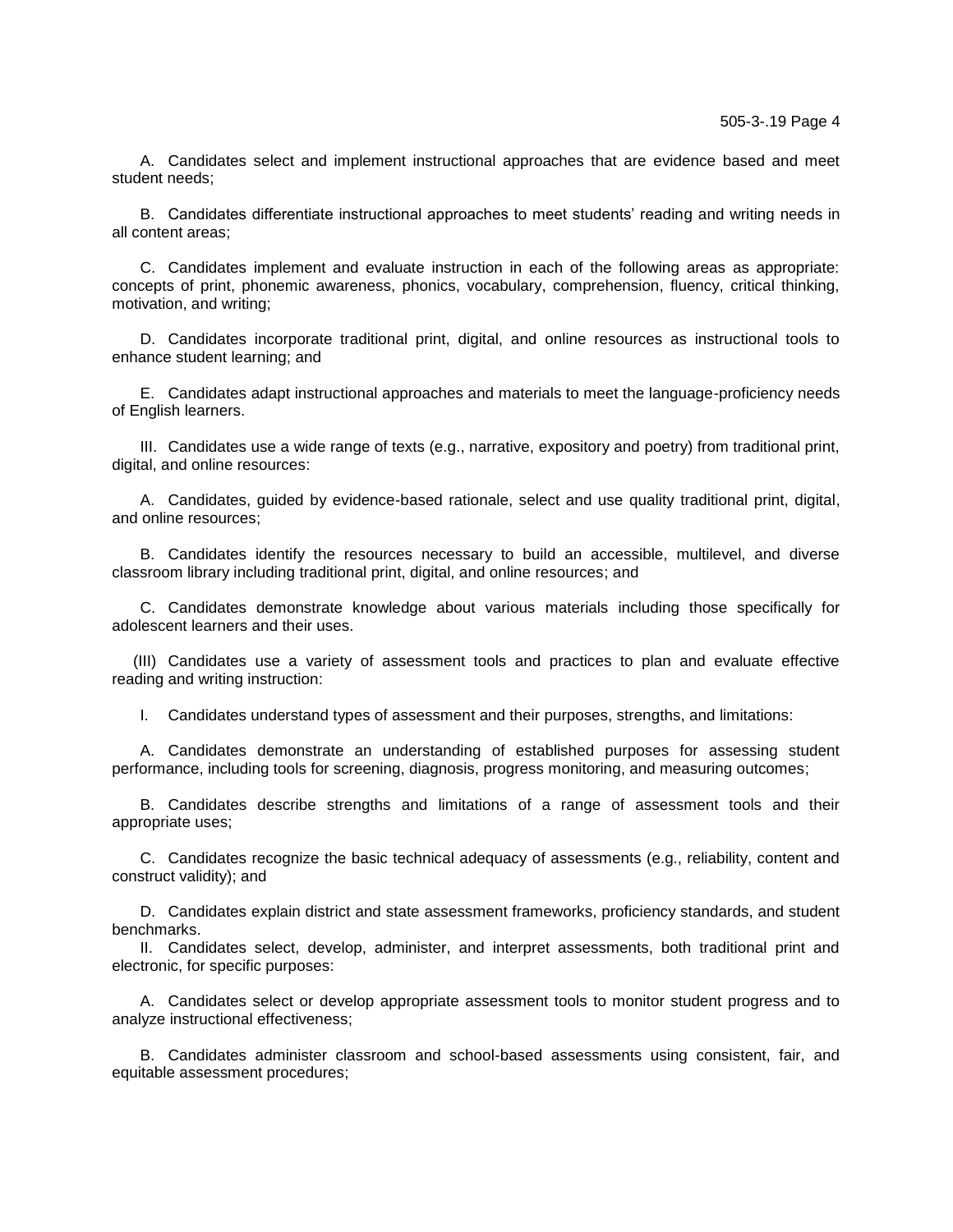A. Candidates select and implement instructional approaches that are evidence based and meet student needs;

B. Candidates differentiate instructional approaches to meet students' reading and writing needs in all content areas;

C. Candidates implement and evaluate instruction in each of the following areas as appropriate: concepts of print, phonemic awareness, phonics, vocabulary, comprehension, fluency, critical thinking, motivation, and writing;

D. Candidates incorporate traditional print, digital, and online resources as instructional tools to enhance student learning; and

E. Candidates adapt instructional approaches and materials to meet the language-proficiency needs of English learners.

III. Candidates use a wide range of texts (e.g., narrative, expository and poetry) from traditional print, digital, and online resources:

A. Candidates, guided by evidence-based rationale, select and use quality traditional print, digital, and online resources;

B. Candidates identify the resources necessary to build an accessible, multilevel, and diverse classroom library including traditional print, digital, and online resources; and

C. Candidates demonstrate knowledge about various materials including those specifically for adolescent learners and their uses.

(III) Candidates use a variety of assessment tools and practices to plan and evaluate effective reading and writing instruction:

I. Candidates understand types of assessment and their purposes, strengths, and limitations:

A. Candidates demonstrate an understanding of established purposes for assessing student performance, including tools for screening, diagnosis, progress monitoring, and measuring outcomes;

B. Candidates describe strengths and limitations of a range of assessment tools and their appropriate uses;

C. Candidates recognize the basic technical adequacy of assessments (e.g., reliability, content and construct validity); and

D. Candidates explain district and state assessment frameworks, proficiency standards, and student benchmarks.

II. Candidates select, develop, administer, and interpret assessments, both traditional print and electronic, for specific purposes:

A. Candidates select or develop appropriate assessment tools to monitor student progress and to analyze instructional effectiveness;

B. Candidates administer classroom and school-based assessments using consistent, fair, and equitable assessment procedures;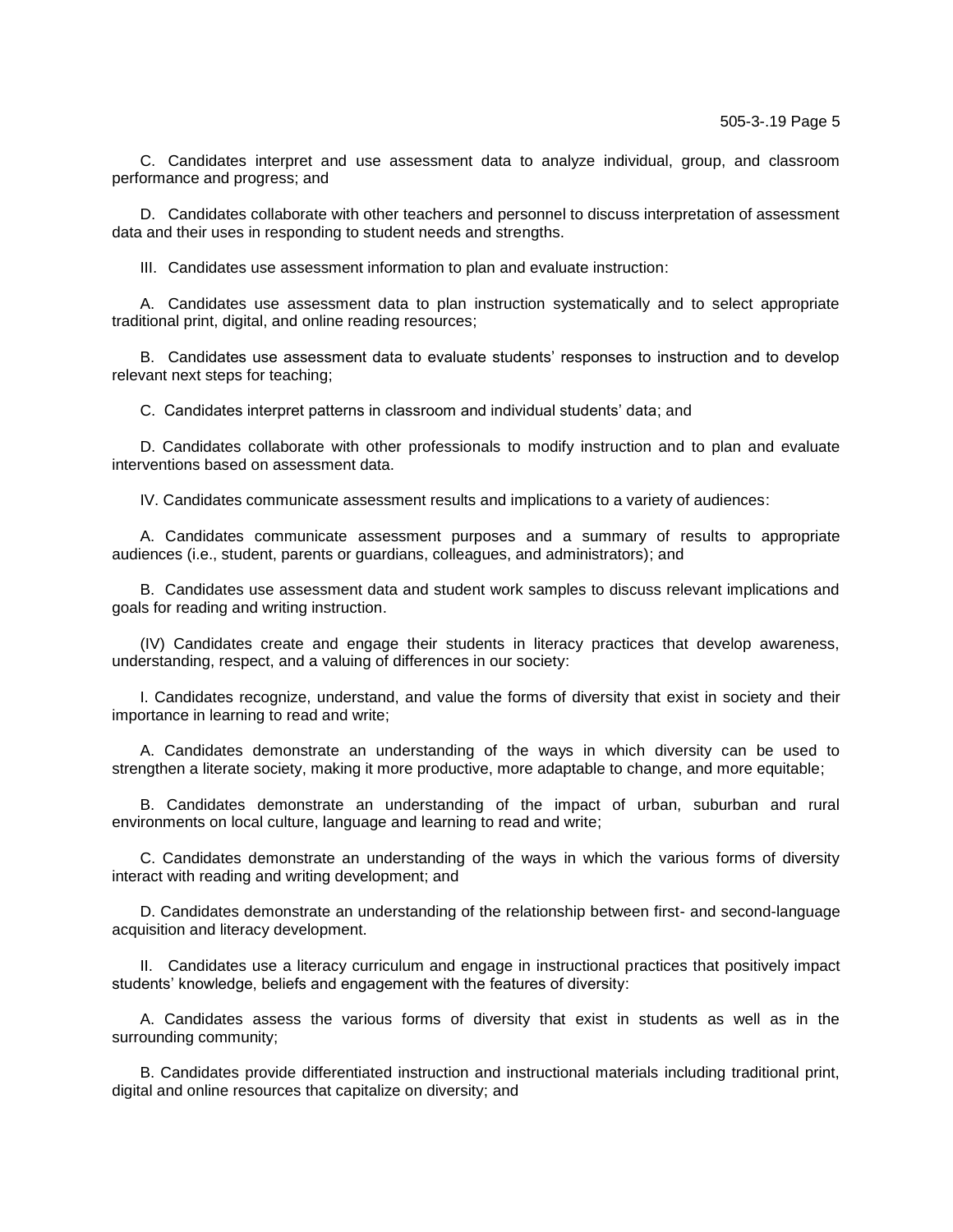C. Candidates interpret and use assessment data to analyze individual, group, and classroom performance and progress; and

D. Candidates collaborate with other teachers and personnel to discuss interpretation of assessment data and their uses in responding to student needs and strengths.

III. Candidates use assessment information to plan and evaluate instruction:

A. Candidates use assessment data to plan instruction systematically and to select appropriate traditional print, digital, and online reading resources;

B. Candidates use assessment data to evaluate students' responses to instruction and to develop relevant next steps for teaching;

C. Candidates interpret patterns in classroom and individual students' data; and

D. Candidates collaborate with other professionals to modify instruction and to plan and evaluate interventions based on assessment data.

IV. Candidates communicate assessment results and implications to a variety of audiences:

A. Candidates communicate assessment purposes and a summary of results to appropriate audiences (i.e., student, parents or guardians, colleagues, and administrators); and

B. Candidates use assessment data and student work samples to discuss relevant implications and goals for reading and writing instruction.

(IV) Candidates create and engage their students in literacy practices that develop awareness, understanding, respect, and a valuing of differences in our society:

I. Candidates recognize, understand, and value the forms of diversity that exist in society and their importance in learning to read and write;

A. Candidates demonstrate an understanding of the ways in which diversity can be used to strengthen a literate society, making it more productive, more adaptable to change, and more equitable;

B. Candidates demonstrate an understanding of the impact of urban, suburban and rural environments on local culture, language and learning to read and write;

C. Candidates demonstrate an understanding of the ways in which the various forms of diversity interact with reading and writing development; and

D. Candidates demonstrate an understanding of the relationship between first- and second-language acquisition and literacy development.

II. Candidates use a literacy curriculum and engage in instructional practices that positively impact students' knowledge, beliefs and engagement with the features of diversity:

A. Candidates assess the various forms of diversity that exist in students as well as in the surrounding community;

B. Candidates provide differentiated instruction and instructional materials including traditional print, digital and online resources that capitalize on diversity; and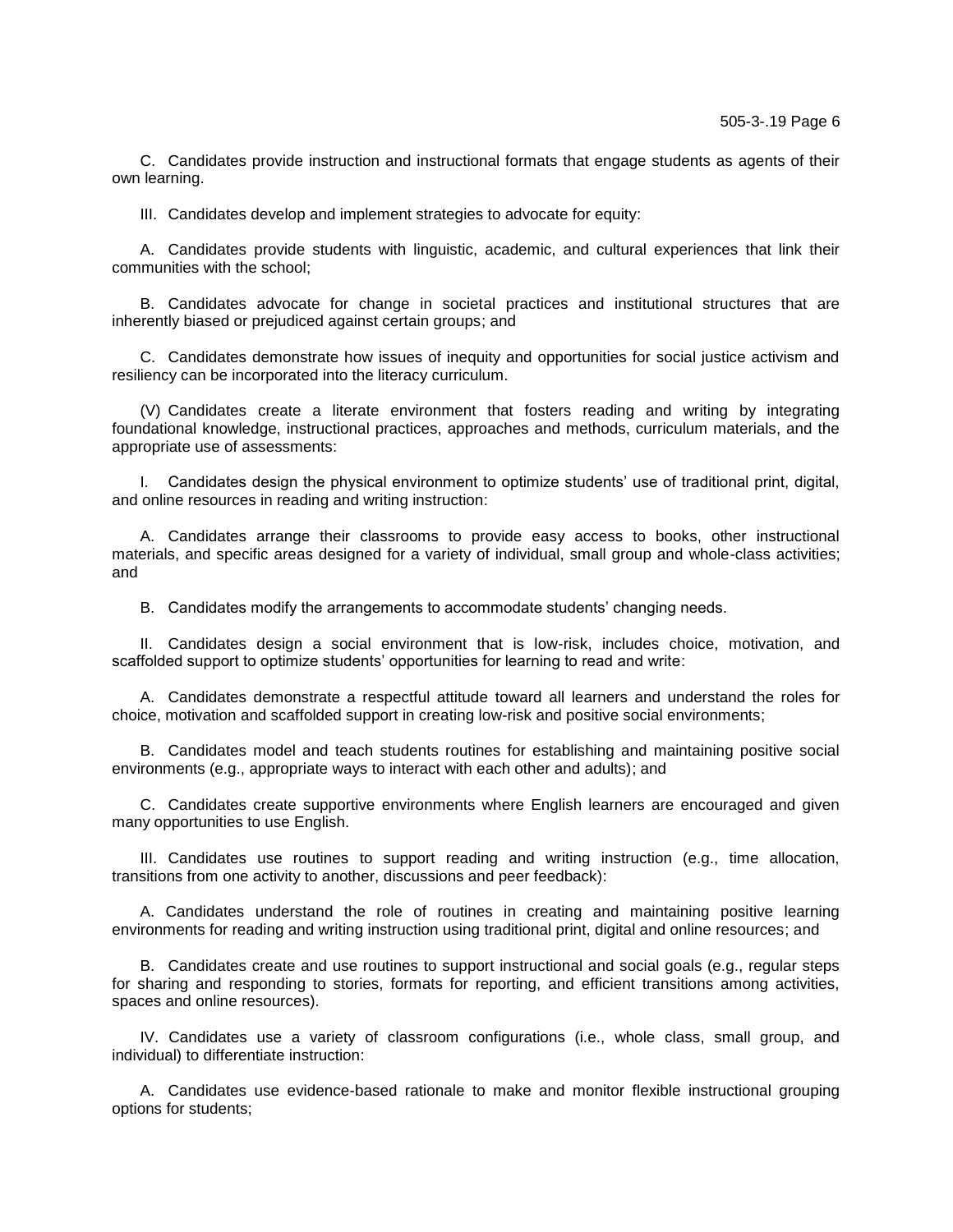C. Candidates provide instruction and instructional formats that engage students as agents of their own learning.

III. Candidates develop and implement strategies to advocate for equity:

A. Candidates provide students with linguistic, academic, and cultural experiences that link their communities with the school;

B. Candidates advocate for change in societal practices and institutional structures that are inherently biased or prejudiced against certain groups; and

C. Candidates demonstrate how issues of inequity and opportunities for social justice activism and resiliency can be incorporated into the literacy curriculum.

(V) Candidates create a literate environment that fosters reading and writing by integrating foundational knowledge, instructional practices, approaches and methods, curriculum materials, and the appropriate use of assessments:

I. Candidates design the physical environment to optimize students' use of traditional print, digital, and online resources in reading and writing instruction:

A. Candidates arrange their classrooms to provide easy access to books, other instructional materials, and specific areas designed for a variety of individual, small group and whole-class activities; and

B. Candidates modify the arrangements to accommodate students' changing needs.

II. Candidates design a social environment that is low-risk, includes choice, motivation, and scaffolded support to optimize students' opportunities for learning to read and write:

A. Candidates demonstrate a respectful attitude toward all learners and understand the roles for choice, motivation and scaffolded support in creating low-risk and positive social environments;

B. Candidates model and teach students routines for establishing and maintaining positive social environments (e.g., appropriate ways to interact with each other and adults); and

C. Candidates create supportive environments where English learners are encouraged and given many opportunities to use English.

III. Candidates use routines to support reading and writing instruction (e.g., time allocation, transitions from one activity to another, discussions and peer feedback):

A. Candidates understand the role of routines in creating and maintaining positive learning environments for reading and writing instruction using traditional print, digital and online resources; and

B. Candidates create and use routines to support instructional and social goals (e.g., regular steps for sharing and responding to stories, formats for reporting, and efficient transitions among activities, spaces and online resources).

IV. Candidates use a variety of classroom configurations (i.e., whole class, small group, and individual) to differentiate instruction:

A. Candidates use evidence-based rationale to make and monitor flexible instructional grouping options for students;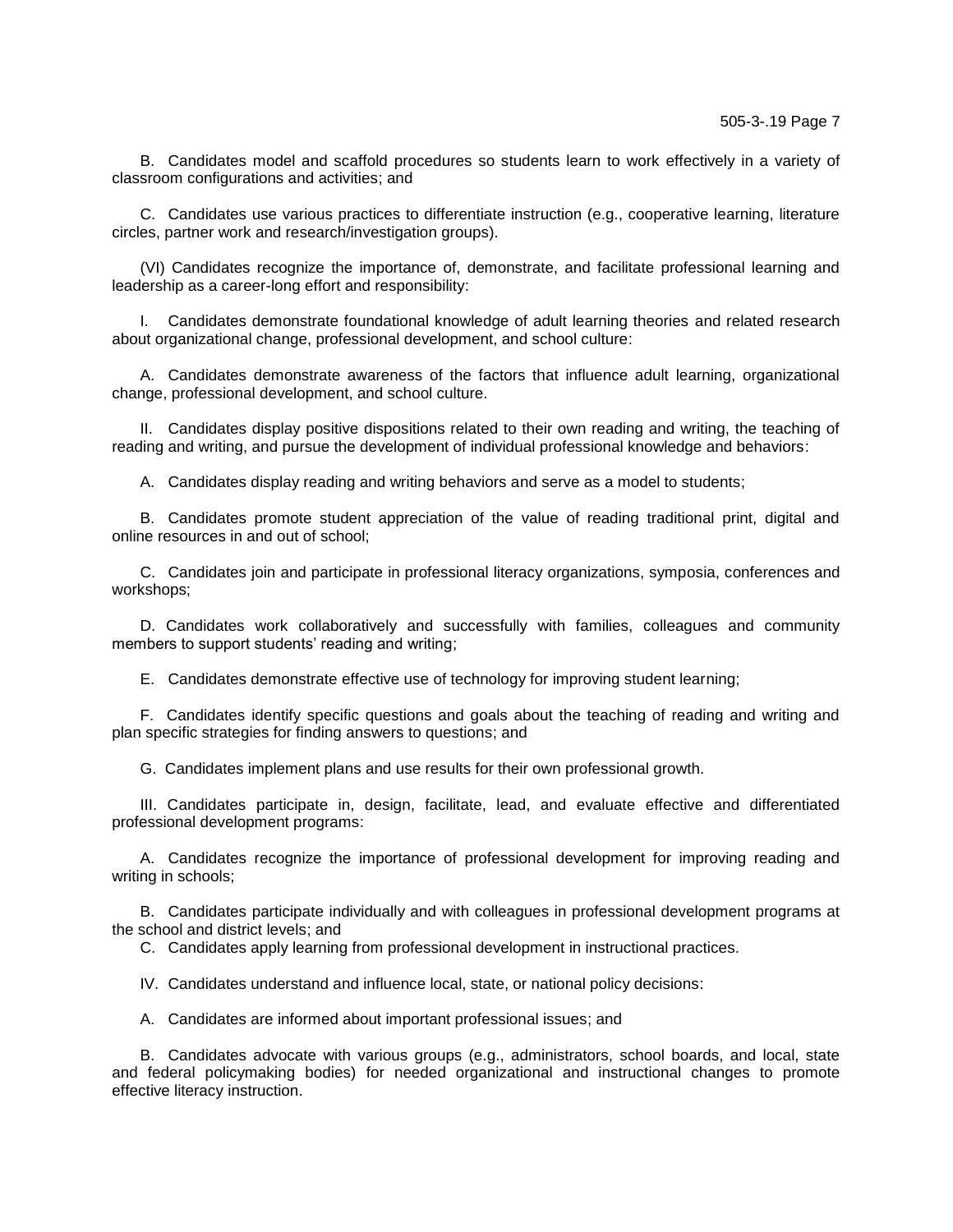B. Candidates model and scaffold procedures so students learn to work effectively in a variety of classroom configurations and activities; and

C. Candidates use various practices to differentiate instruction (e.g., cooperative learning, literature circles, partner work and research/investigation groups).

(VI) Candidates recognize the importance of, demonstrate, and facilitate professional learning and leadership as a career-long effort and responsibility:

I. Candidates demonstrate foundational knowledge of adult learning theories and related research about organizational change, professional development, and school culture:

A. Candidates demonstrate awareness of the factors that influence adult learning, organizational change, professional development, and school culture.

II. Candidates display positive dispositions related to their own reading and writing, the teaching of reading and writing, and pursue the development of individual professional knowledge and behaviors:

A. Candidates display reading and writing behaviors and serve as a model to students;

B. Candidates promote student appreciation of the value of reading traditional print, digital and online resources in and out of school;

C. Candidates join and participate in professional literacy organizations, symposia, conferences and workshops;

D. Candidates work collaboratively and successfully with families, colleagues and community members to support students' reading and writing;

E. Candidates demonstrate effective use of technology for improving student learning;

F. Candidates identify specific questions and goals about the teaching of reading and writing and plan specific strategies for finding answers to questions; and

G. Candidates implement plans and use results for their own professional growth.

III. Candidates participate in, design, facilitate, lead, and evaluate effective and differentiated professional development programs:

A. Candidates recognize the importance of professional development for improving reading and writing in schools;

B. Candidates participate individually and with colleagues in professional development programs at the school and district levels; and

C. Candidates apply learning from professional development in instructional practices.

IV. Candidates understand and influence local, state, or national policy decisions:

A. Candidates are informed about important professional issues; and

B. Candidates advocate with various groups (e.g., administrators, school boards, and local, state and federal policymaking bodies) for needed organizational and instructional changes to promote effective literacy instruction.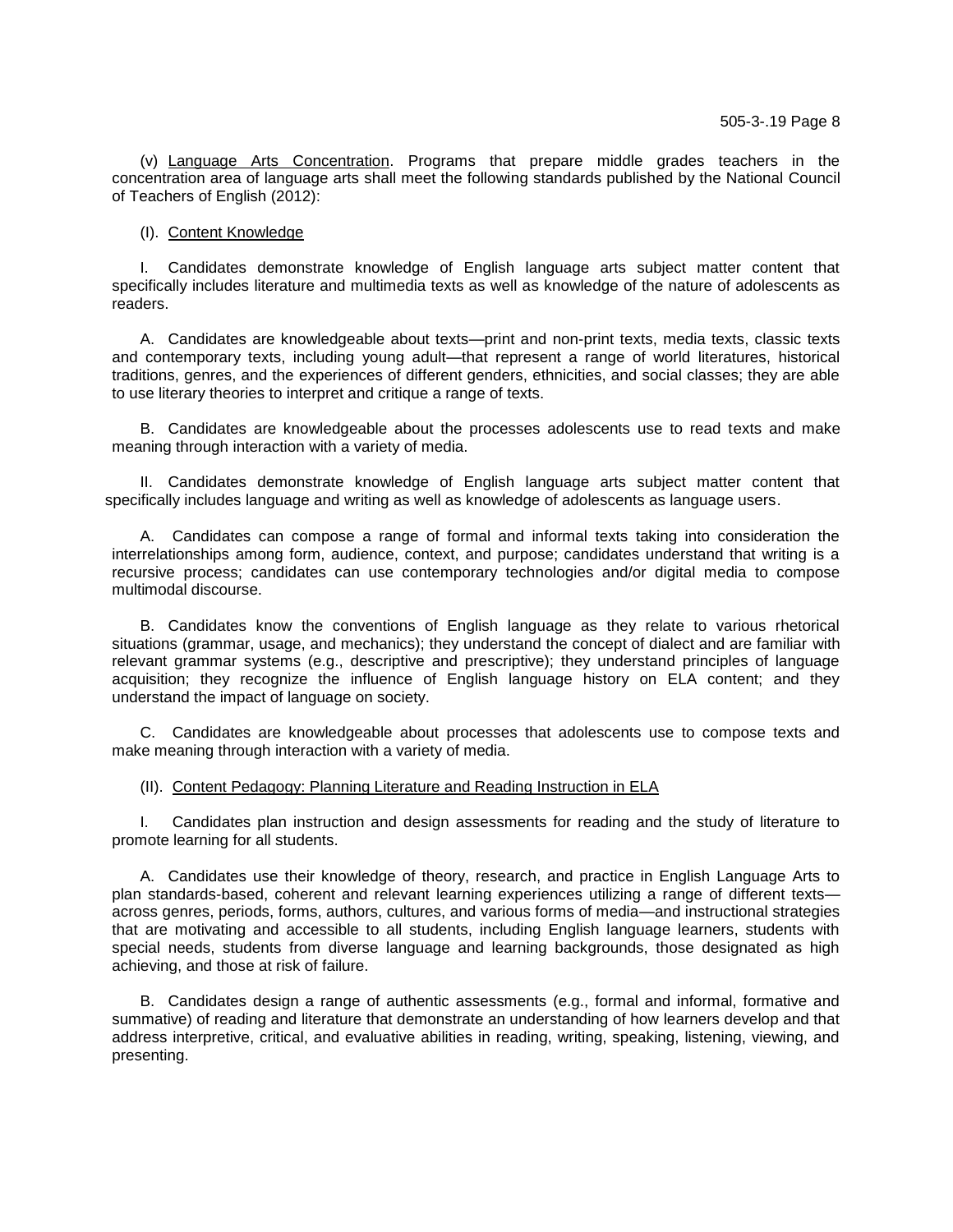(v) Language Arts Concentration. Programs that prepare middle grades teachers in the concentration area of language arts shall meet the following standards published by the National Council of Teachers of English (2012):

## (I). Content Knowledge

I. Candidates demonstrate knowledge of English language arts subject matter content that specifically includes literature and multimedia texts as well as knowledge of the nature of adolescents as readers.

A. Candidates are knowledgeable about texts—print and non-print texts, media texts, classic texts and contemporary texts, including young adult—that represent a range of world literatures, historical traditions, genres, and the experiences of different genders, ethnicities, and social classes; they are able to use literary theories to interpret and critique a range of texts.

B. Candidates are knowledgeable about the processes adolescents use to read texts and make meaning through interaction with a variety of media.

II. Candidates demonstrate knowledge of English language arts subject matter content that specifically includes language and writing as well as knowledge of adolescents as language users.

A. Candidates can compose a range of formal and informal texts taking into consideration the interrelationships among form, audience, context, and purpose; candidates understand that writing is a recursive process; candidates can use contemporary technologies and/or digital media to compose multimodal discourse.

B. Candidates know the conventions of English language as they relate to various rhetorical situations (grammar, usage, and mechanics); they understand the concept of dialect and are familiar with relevant grammar systems (e.g., descriptive and prescriptive); they understand principles of language acquisition; they recognize the influence of English language history on ELA content; and they understand the impact of language on society.

C. Candidates are knowledgeable about processes that adolescents use to compose texts and make meaning through interaction with a variety of media.

## (II). Content Pedagogy: Planning Literature and Reading Instruction in ELA

I. Candidates plan instruction and design assessments for reading and the study of literature to promote learning for all students.

A. Candidates use their knowledge of theory, research, and practice in English Language Arts to plan standards-based, coherent and relevant learning experiences utilizing a range of different texts across genres, periods, forms, authors, cultures, and various forms of media—and instructional strategies that are motivating and accessible to all students, including English language learners, students with special needs, students from diverse language and learning backgrounds, those designated as high achieving, and those at risk of failure.

B. Candidates design a range of authentic assessments (e.g., formal and informal, formative and summative) of reading and literature that demonstrate an understanding of how learners develop and that address interpretive, critical, and evaluative abilities in reading, writing, speaking, listening, viewing, and presenting.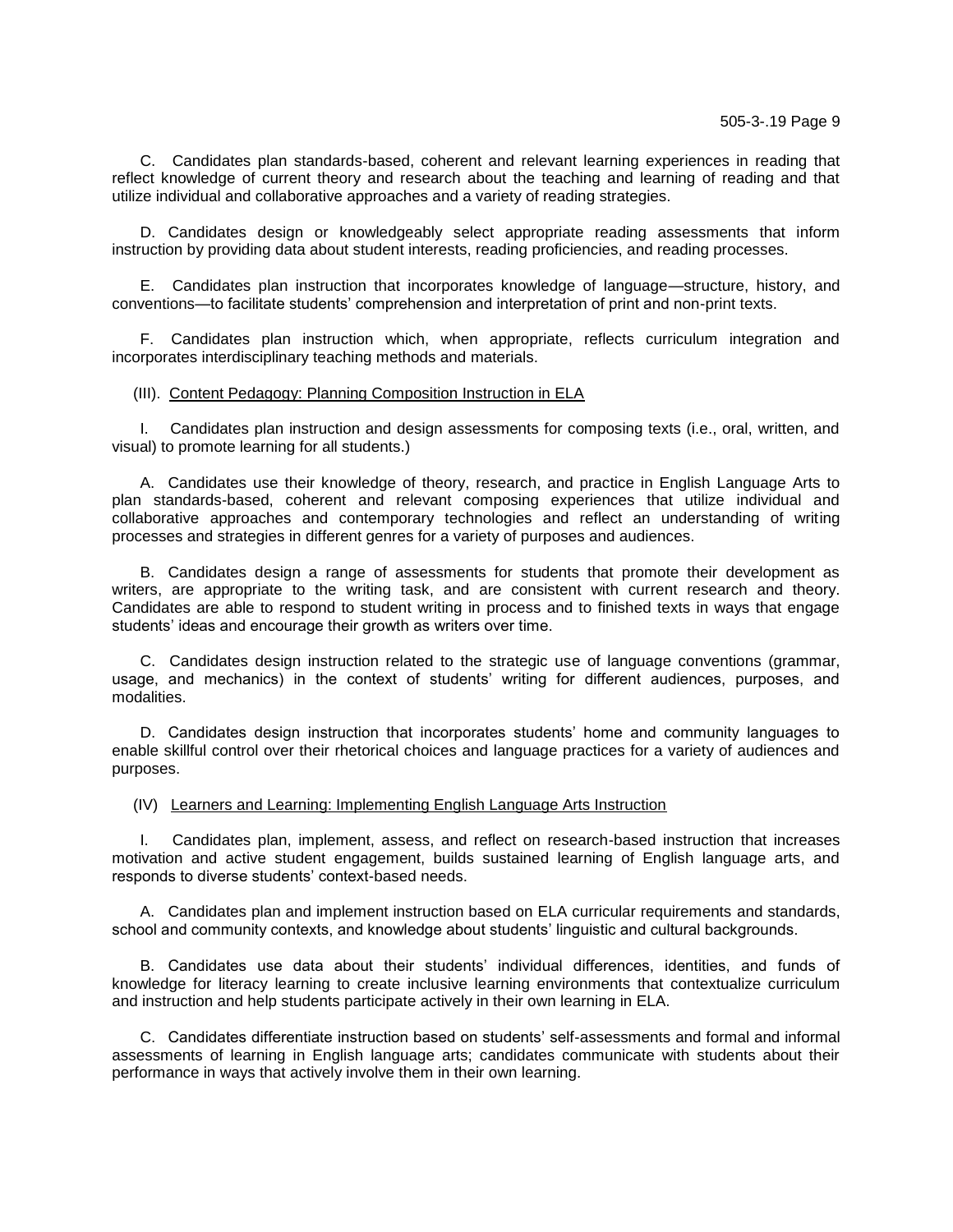C. Candidates plan standards-based, coherent and relevant learning experiences in reading that reflect knowledge of current theory and research about the teaching and learning of reading and that utilize individual and collaborative approaches and a variety of reading strategies.

D. Candidates design or knowledgeably select appropriate reading assessments that inform instruction by providing data about student interests, reading proficiencies, and reading processes.

E. Candidates plan instruction that incorporates knowledge of language—structure, history, and conventions—to facilitate students' comprehension and interpretation of print and non-print texts.

F. Candidates plan instruction which, when appropriate, reflects curriculum integration and incorporates interdisciplinary teaching methods and materials.

#### (III). Content Pedagogy: Planning Composition Instruction in ELA

I. Candidates plan instruction and design assessments for composing texts (i.e., oral, written, and visual) to promote learning for all students.)

A. Candidates use their knowledge of theory, research, and practice in English Language Arts to plan standards-based, coherent and relevant composing experiences that utilize individual and collaborative approaches and contemporary technologies and reflect an understanding of writing processes and strategies in different genres for a variety of purposes and audiences.

B. Candidates design a range of assessments for students that promote their development as writers, are appropriate to the writing task, and are consistent with current research and theory. Candidates are able to respond to student writing in process and to finished texts in ways that engage students' ideas and encourage their growth as writers over time.

C. Candidates design instruction related to the strategic use of language conventions (grammar, usage, and mechanics) in the context of students' writing for different audiences, purposes, and modalities.

D. Candidates design instruction that incorporates students' home and community languages to enable skillful control over their rhetorical choices and language practices for a variety of audiences and purposes.

## (IV) Learners and Learning: Implementing English Language Arts Instruction

I. Candidates plan, implement, assess, and reflect on research-based instruction that increases motivation and active student engagement, builds sustained learning of English language arts, and responds to diverse students' context-based needs.

A. Candidates plan and implement instruction based on ELA curricular requirements and standards, school and community contexts, and knowledge about students' linguistic and cultural backgrounds.

B. Candidates use data about their students' individual differences, identities, and funds of knowledge for literacy learning to create inclusive learning environments that contextualize curriculum and instruction and help students participate actively in their own learning in ELA.

C. Candidates differentiate instruction based on students' self-assessments and formal and informal assessments of learning in English language arts; candidates communicate with students about their performance in ways that actively involve them in their own learning.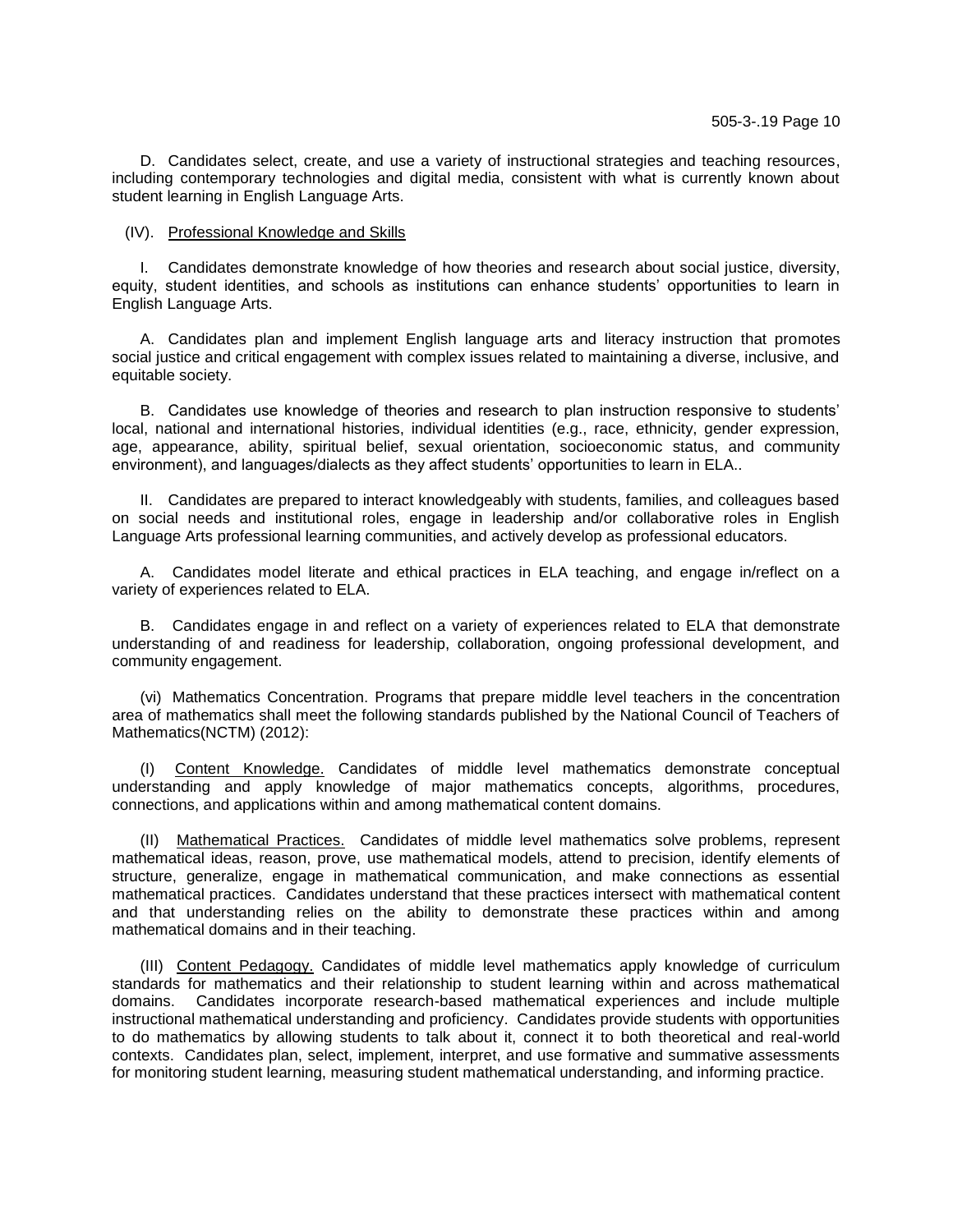D. Candidates select, create, and use a variety of instructional strategies and teaching resources, including contemporary technologies and digital media, consistent with what is currently known about student learning in English Language Arts.

## (IV). Professional Knowledge and Skills

I. Candidates demonstrate knowledge of how theories and research about social justice, diversity, equity, student identities, and schools as institutions can enhance students' opportunities to learn in English Language Arts.

A. Candidates plan and implement English language arts and literacy instruction that promotes social justice and critical engagement with complex issues related to maintaining a diverse, inclusive, and equitable society.

B. Candidates use knowledge of theories and research to plan instruction responsive to students' local, national and international histories, individual identities (e.g., race, ethnicity, gender expression, age, appearance, ability, spiritual belief, sexual orientation, socioeconomic status, and community environment), and languages/dialects as they affect students' opportunities to learn in ELA..

II. Candidates are prepared to interact knowledgeably with students, families, and colleagues based on social needs and institutional roles, engage in leadership and/or collaborative roles in English Language Arts professional learning communities, and actively develop as professional educators.

A. Candidates model literate and ethical practices in ELA teaching, and engage in/reflect on a variety of experiences related to ELA.

B. Candidates engage in and reflect on a variety of experiences related to ELA that demonstrate understanding of and readiness for leadership, collaboration, ongoing professional development, and community engagement.

(vi) Mathematics Concentration. Programs that prepare middle level teachers in the concentration area of mathematics shall meet the following standards published by the National Council of Teachers of Mathematics(NCTM) (2012):

(I) Content Knowledge. Candidates of middle level mathematics demonstrate conceptual understanding and apply knowledge of major mathematics concepts, algorithms, procedures, connections, and applications within and among mathematical content domains.

(II) Mathematical Practices. Candidates of middle level mathematics solve problems, represent mathematical ideas, reason, prove, use mathematical models, attend to precision, identify elements of structure, generalize, engage in mathematical communication, and make connections as essential mathematical practices. Candidates understand that these practices intersect with mathematical content and that understanding relies on the ability to demonstrate these practices within and among mathematical domains and in their teaching.

(III) Content Pedagogy. Candidates of middle level mathematics apply knowledge of curriculum standards for mathematics and their relationship to student learning within and across mathematical domains. Candidates incorporate research-based mathematical experiences and include multiple instructional mathematical understanding and proficiency. Candidates provide students with opportunities to do mathematics by allowing students to talk about it, connect it to both theoretical and real-world contexts. Candidates plan, select, implement, interpret, and use formative and summative assessments for monitoring student learning, measuring student mathematical understanding, and informing practice.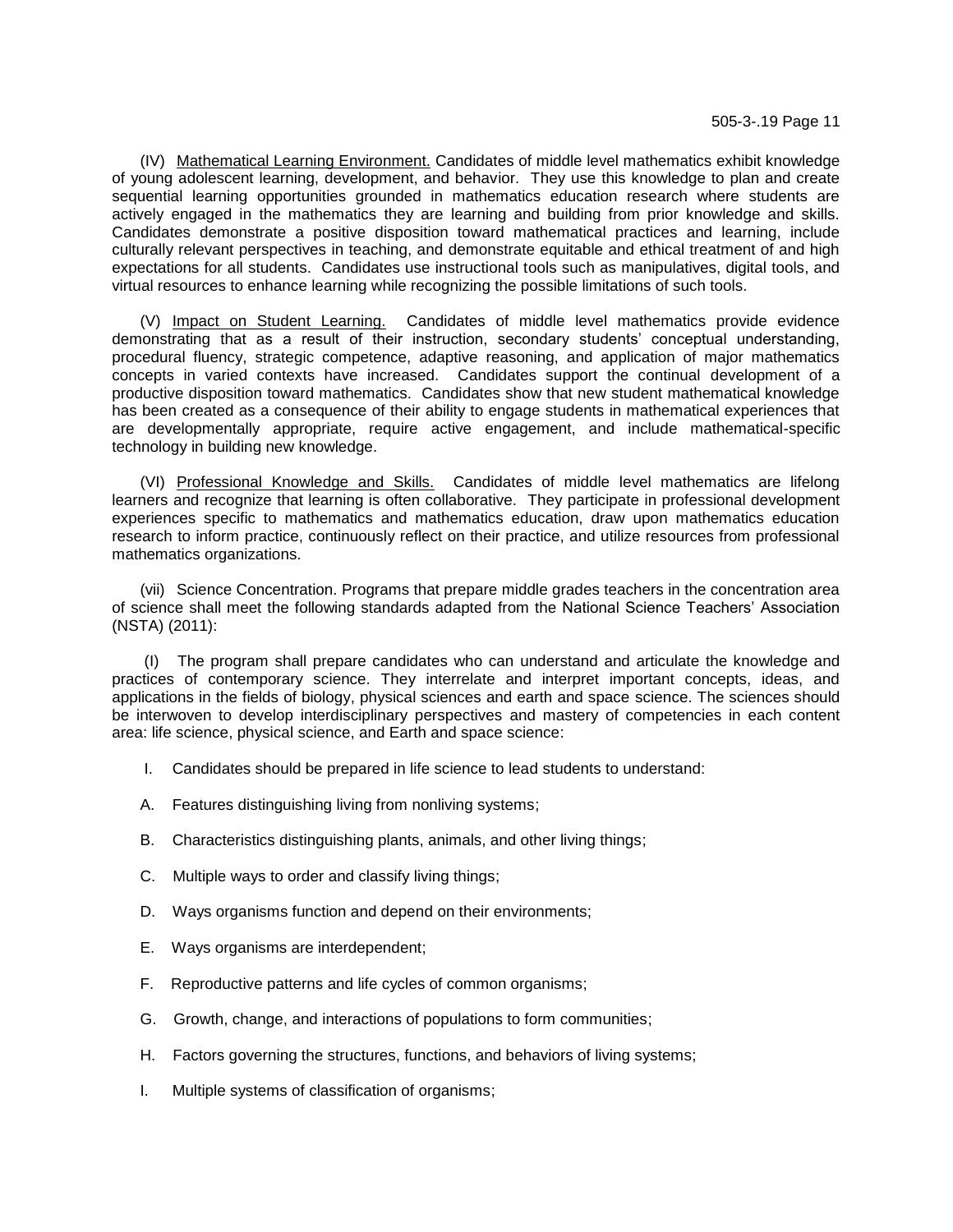(IV) Mathematical Learning Environment. Candidates of middle level mathematics exhibit knowledge of young adolescent learning, development, and behavior. They use this knowledge to plan and create sequential learning opportunities grounded in mathematics education research where students are actively engaged in the mathematics they are learning and building from prior knowledge and skills. Candidates demonstrate a positive disposition toward mathematical practices and learning, include culturally relevant perspectives in teaching, and demonstrate equitable and ethical treatment of and high expectations for all students. Candidates use instructional tools such as manipulatives, digital tools, and virtual resources to enhance learning while recognizing the possible limitations of such tools.

(V) Impact on Student Learning. Candidates of middle level mathematics provide evidence demonstrating that as a result of their instruction, secondary students' conceptual understanding, procedural fluency, strategic competence, adaptive reasoning, and application of major mathematics concepts in varied contexts have increased. Candidates support the continual development of a productive disposition toward mathematics. Candidates show that new student mathematical knowledge has been created as a consequence of their ability to engage students in mathematical experiences that are developmentally appropriate, require active engagement, and include mathematical-specific technology in building new knowledge.

(VI) Professional Knowledge and Skills. Candidates of middle level mathematics are lifelong learners and recognize that learning is often collaborative. They participate in professional development experiences specific to mathematics and mathematics education, draw upon mathematics education research to inform practice, continuously reflect on their practice, and utilize resources from professional mathematics organizations.

(vii) Science Concentration. Programs that prepare middle grades teachers in the concentration area of science shall meet the following standards adapted from the National Science Teachers' Association (NSTA) (2011):

(I) The program shall prepare candidates who can understand and articulate the knowledge and practices of contemporary science. They interrelate and interpret important concepts, ideas, and applications in the fields of biology, physical sciences and earth and space science. The sciences should be interwoven to develop interdisciplinary perspectives and mastery of competencies in each content area: life science, physical science, and Earth and space science:

- I. Candidates should be prepared in life science to lead students to understand:
- A. Features distinguishing living from nonliving systems;
- B. Characteristics distinguishing plants, animals, and other living things;
- C. Multiple ways to order and classify living things;
- D. Ways organisms function and depend on their environments;
- E. Ways organisms are interdependent;
- F. Reproductive patterns and life cycles of common organisms;
- G. Growth, change, and interactions of populations to form communities;
- H. Factors governing the structures, functions, and behaviors of living systems;
- I. Multiple systems of classification of organisms;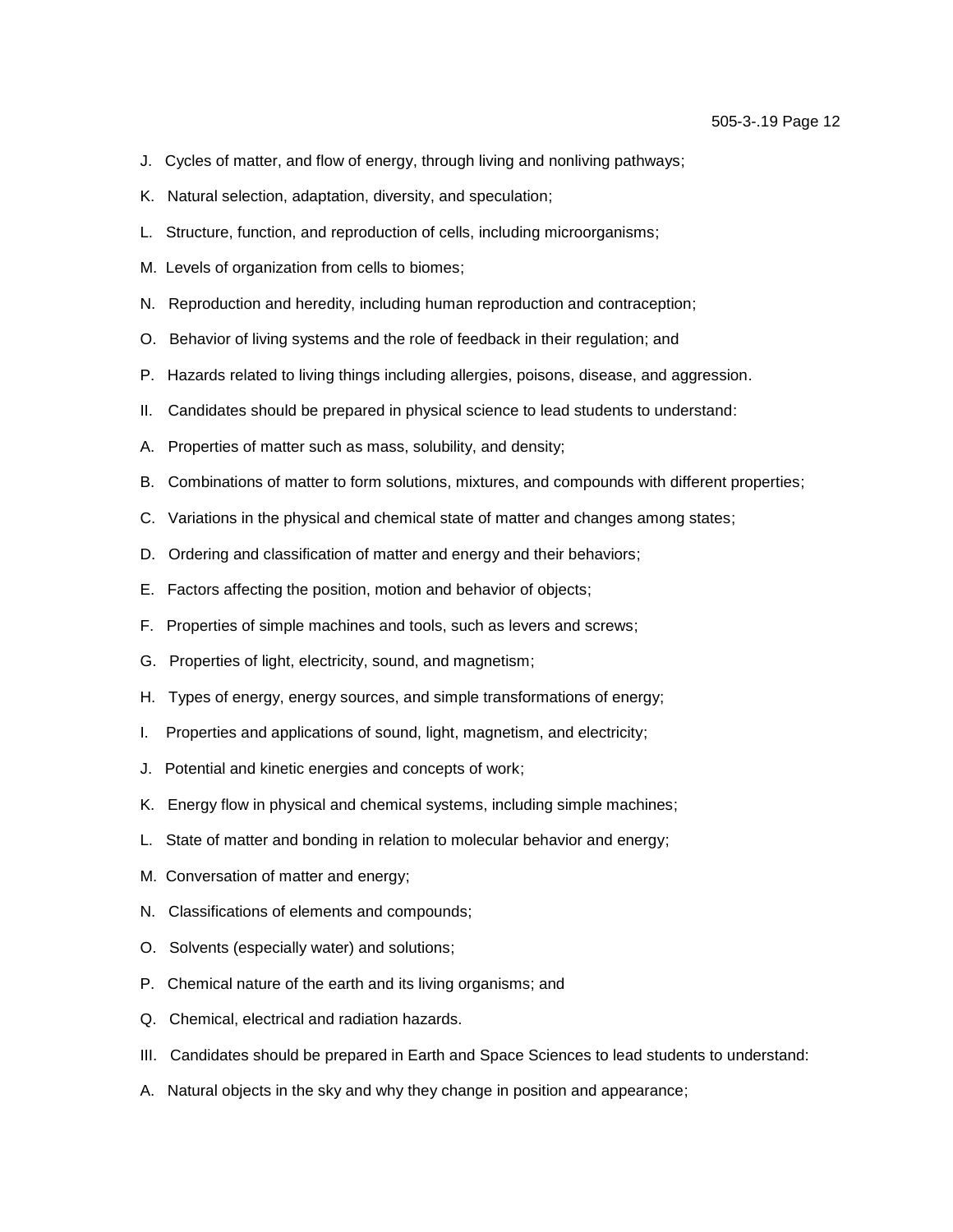- J. Cycles of matter, and flow of energy, through living and nonliving pathways;
- K. Natural selection, adaptation, diversity, and speculation;
- L. Structure, function, and reproduction of cells, including microorganisms;
- M. Levels of organization from cells to biomes;
- N. Reproduction and heredity, including human reproduction and contraception;
- O. Behavior of living systems and the role of feedback in their regulation; and
- P. Hazards related to living things including allergies, poisons, disease, and aggression.
- II. Candidates should be prepared in physical science to lead students to understand:
- A. Properties of matter such as mass, solubility, and density;
- B. Combinations of matter to form solutions, mixtures, and compounds with different properties;
- C. Variations in the physical and chemical state of matter and changes among states;
- D. Ordering and classification of matter and energy and their behaviors;
- E. Factors affecting the position, motion and behavior of objects;
- F. Properties of simple machines and tools, such as levers and screws;
- G. Properties of light, electricity, sound, and magnetism;
- H. Types of energy, energy sources, and simple transformations of energy;
- I. Properties and applications of sound, light, magnetism, and electricity;
- J. Potential and kinetic energies and concepts of work;
- K. Energy flow in physical and chemical systems, including simple machines;
- L. State of matter and bonding in relation to molecular behavior and energy;
- M. Conversation of matter and energy;
- N. Classifications of elements and compounds;
- O. Solvents (especially water) and solutions;
- P. Chemical nature of the earth and its living organisms; and
- Q. Chemical, electrical and radiation hazards.
- III. Candidates should be prepared in Earth and Space Sciences to lead students to understand:
- A. Natural objects in the sky and why they change in position and appearance;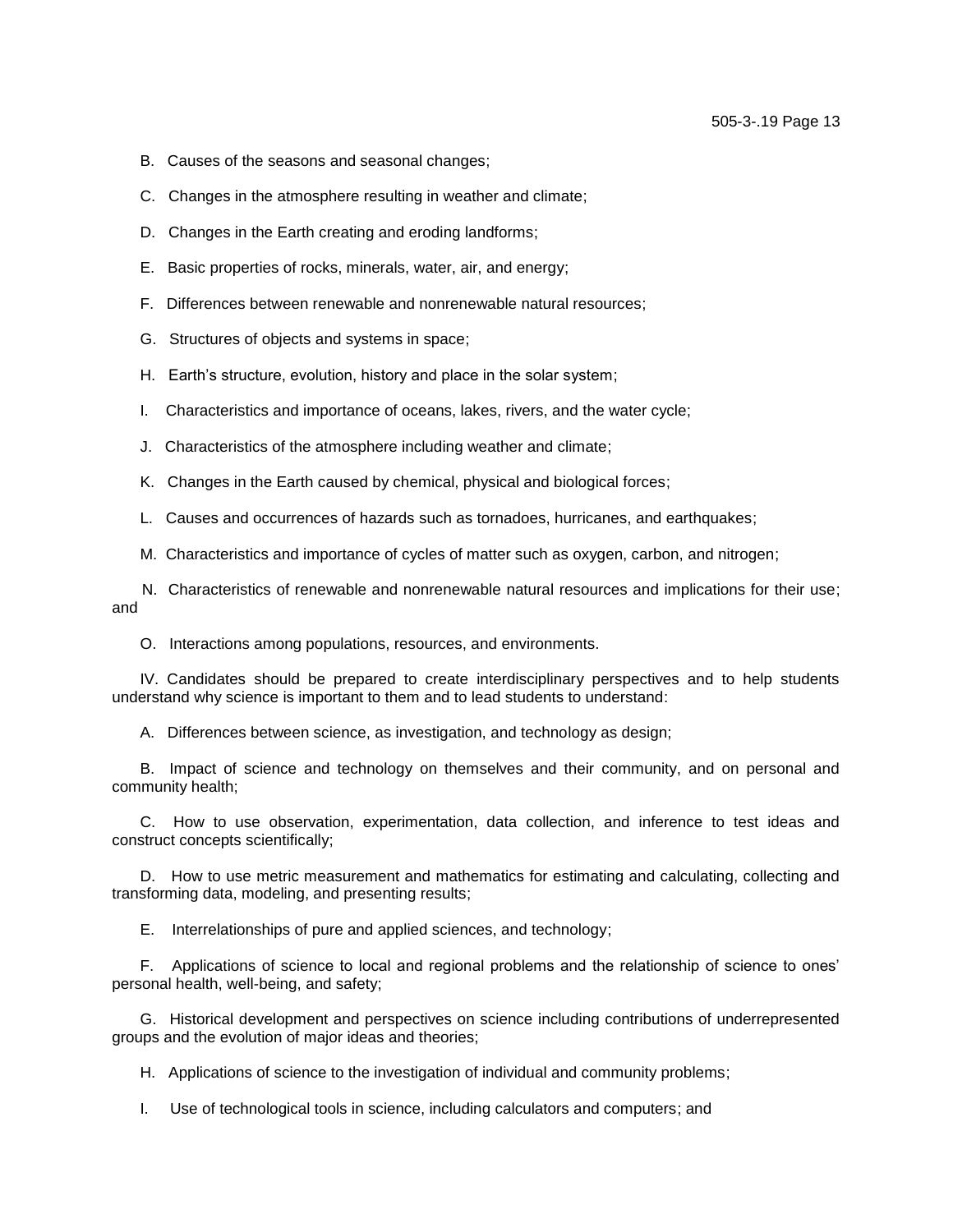- B. Causes of the seasons and seasonal changes;
- C. Changes in the atmosphere resulting in weather and climate;
- D. Changes in the Earth creating and eroding landforms;
- E. Basic properties of rocks, minerals, water, air, and energy;
- F. Differences between renewable and nonrenewable natural resources;
- G. Structures of objects and systems in space;
- H. Earth's structure, evolution, history and place in the solar system;
- I. Characteristics and importance of oceans, lakes, rivers, and the water cycle;
- J. Characteristics of the atmosphere including weather and climate;
- K. Changes in the Earth caused by chemical, physical and biological forces;
- L. Causes and occurrences of hazards such as tornadoes, hurricanes, and earthquakes;
- M. Characteristics and importance of cycles of matter such as oxygen, carbon, and nitrogen;

 N. Characteristics of renewable and nonrenewable natural resources and implications for their use; and

O. Interactions among populations, resources, and environments.

IV. Candidates should be prepared to create interdisciplinary perspectives and to help students understand why science is important to them and to lead students to understand:

A. Differences between science, as investigation, and technology as design;

B. Impact of science and technology on themselves and their community, and on personal and community health;

C. How to use observation, experimentation, data collection, and inference to test ideas and construct concepts scientifically;

D. How to use metric measurement and mathematics for estimating and calculating, collecting and transforming data, modeling, and presenting results;

E. Interrelationships of pure and applied sciences, and technology;

F. Applications of science to local and regional problems and the relationship of science to ones' personal health, well-being, and safety;

G. Historical development and perspectives on science including contributions of underrepresented groups and the evolution of major ideas and theories;

H. Applications of science to the investigation of individual and community problems;

I. Use of technological tools in science, including calculators and computers; and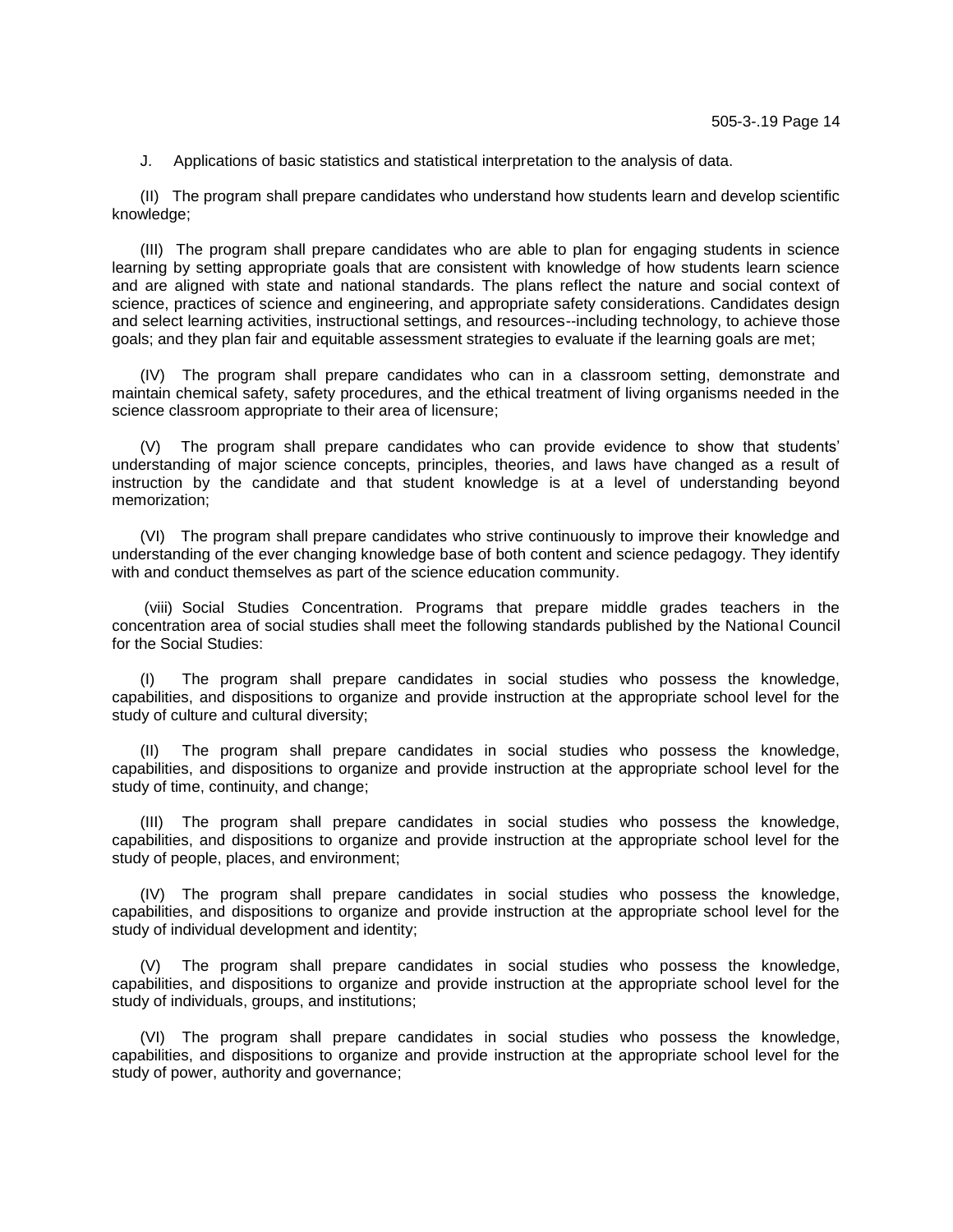J. Applications of basic statistics and statistical interpretation to the analysis of data.

(II) The program shall prepare candidates who understand how students learn and develop scientific knowledge;

(III) The program shall prepare candidates who are able to plan for engaging students in science learning by setting appropriate goals that are consistent with knowledge of how students learn science and are aligned with state and national standards. The plans reflect the nature and social context of science, practices of science and engineering, and appropriate safety considerations. Candidates design and select learning activities, instructional settings, and resources--including technology, to achieve those goals; and they plan fair and equitable assessment strategies to evaluate if the learning goals are met;

(IV) The program shall prepare candidates who can in a classroom setting, demonstrate and maintain chemical safety, safety procedures, and the ethical treatment of living organisms needed in the science classroom appropriate to their area of licensure;

(V) The program shall prepare candidates who can provide evidence to show that students' understanding of major science concepts, principles, theories, and laws have changed as a result of instruction by the candidate and that student knowledge is at a level of understanding beyond memorization;

(VI) The program shall prepare candidates who strive continuously to improve their knowledge and understanding of the ever changing knowledge base of both content and science pedagogy. They identify with and conduct themselves as part of the science education community.

(viii) Social Studies Concentration. Programs that prepare middle grades teachers in the concentration area of social studies shall meet the following standards published by the National Council for the Social Studies:

(I) The program shall prepare candidates in social studies who possess the knowledge, capabilities, and dispositions to organize and provide instruction at the appropriate school level for the study of culture and cultural diversity;

The program shall prepare candidates in social studies who possess the knowledge, capabilities, and dispositions to organize and provide instruction at the appropriate school level for the study of time, continuity, and change;

(III) The program shall prepare candidates in social studies who possess the knowledge, capabilities, and dispositions to organize and provide instruction at the appropriate school level for the study of people, places, and environment;

(IV) The program shall prepare candidates in social studies who possess the knowledge, capabilities, and dispositions to organize and provide instruction at the appropriate school level for the study of individual development and identity;

(V) The program shall prepare candidates in social studies who possess the knowledge, capabilities, and dispositions to organize and provide instruction at the appropriate school level for the study of individuals, groups, and institutions;

(VI) The program shall prepare candidates in social studies who possess the knowledge, capabilities, and dispositions to organize and provide instruction at the appropriate school level for the study of power, authority and governance;